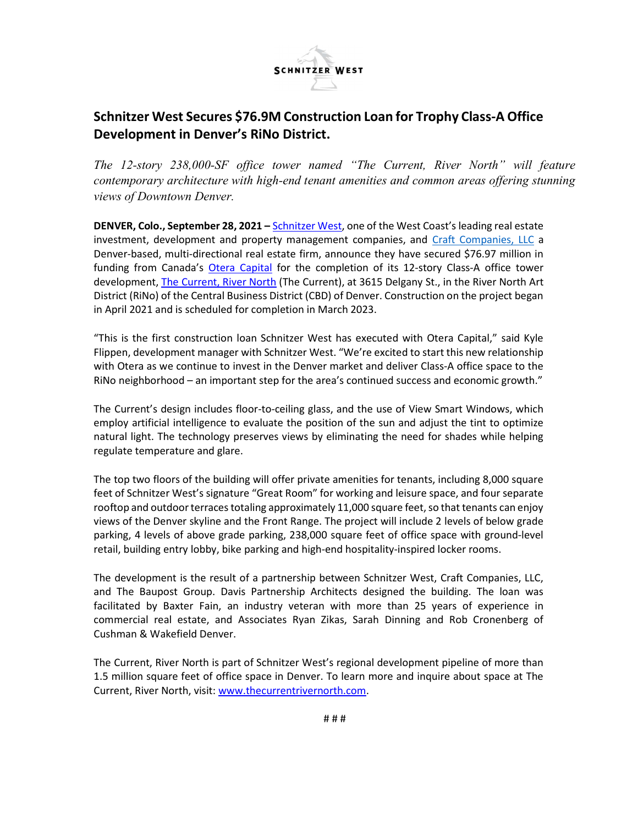

# Schnitzer West Secures \$76.9M Construction Loan for Trophy Class-A Office Development in Denver's RiNo District.

The 12-story 238,000-SF office tower named "The Current, River North" will feature contemporary architecture with high-end tenant amenities and common areas offering stunning views of Downtown Denver.

DENVER, Colo., September 28, 2021 – Schnitzer West, one of the West Coast's leading real estate investment, development and property management companies, and Craft Companies, LLC a Denver-based, multi-directional real estate firm, announce they have secured \$76.97 million in funding from Canada's Otera Capital for the completion of its 12-story Class-A office tower development, The Current, River North (The Current), at 3615 Delgany St., in the River North Art District (RiNo) of the Central Business District (CBD) of Denver. Construction on the project began in April 2021 and is scheduled for completion in March 2023.

"This is the first construction loan Schnitzer West has executed with Otera Capital," said Kyle Flippen, development manager with Schnitzer West. "We're excited to start this new relationship with Otera as we continue to invest in the Denver market and deliver Class-A office space to the RiNo neighborhood – an important step for the area's continued success and economic growth."

The Current's design includes floor-to-ceiling glass, and the use of View Smart Windows, which employ artificial intelligence to evaluate the position of the sun and adjust the tint to optimize natural light. The technology preserves views by eliminating the need for shades while helping regulate temperature and glare.

The top two floors of the building will offer private amenities for tenants, including 8,000 square feet of Schnitzer West's signature "Great Room" for working and leisure space, and four separate rooftop and outdoor terraces totaling approximately 11,000 square feet, so that tenants can enjoy views of the Denver skyline and the Front Range. The project will include 2 levels of below grade parking, 4 levels of above grade parking, 238,000 square feet of office space with ground-level retail, building entry lobby, bike parking and high-end hospitality-inspired locker rooms.

The development is the result of a partnership between Schnitzer West, Craft Companies, LLC, and The Baupost Group. Davis Partnership Architects designed the building. The loan was facilitated by Baxter Fain, an industry veteran with more than 25 years of experience in commercial real estate, and Associates Ryan Zikas, Sarah Dinning and Rob Cronenberg of Cushman & Wakefield Denver.

The Current, River North is part of Schnitzer West's regional development pipeline of more than 1.5 million square feet of office space in Denver. To learn more and inquire about space at The Current, River North, visit: www.thecurrentrivernorth.com.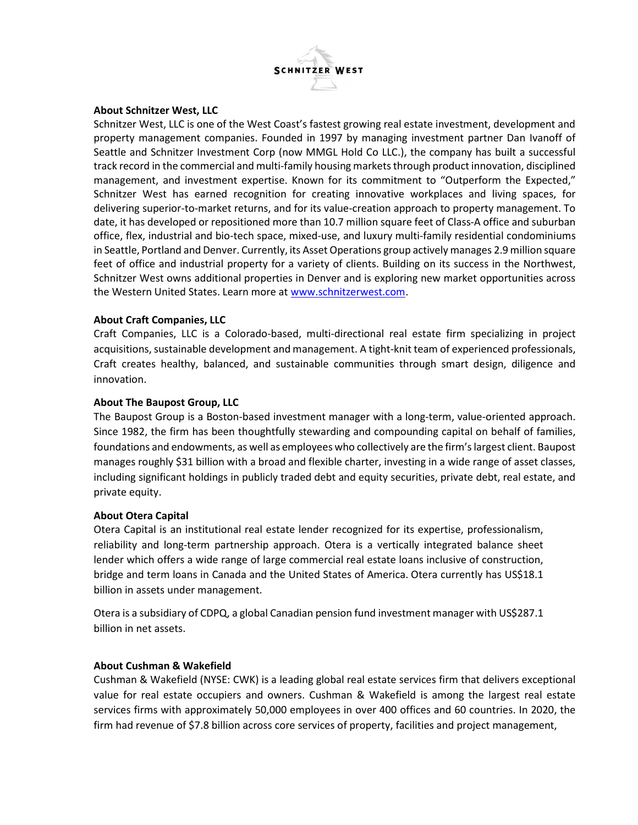

# About Schnitzer West, LLC

Schnitzer West, LLC is one of the West Coast's fastest growing real estate investment, development and property management companies. Founded in 1997 by managing investment partner Dan Ivanoff of Seattle and Schnitzer Investment Corp (now MMGL Hold Co LLC.), the company has built a successful track record in the commercial and multi-family housing markets through product innovation, disciplined management, and investment expertise. Known for its commitment to "Outperform the Expected," Schnitzer West has earned recognition for creating innovative workplaces and living spaces, for delivering superior-to-market returns, and for its value-creation approach to property management. To date, it has developed or repositioned more than 10.7 million square feet of Class-A office and suburban office, flex, industrial and bio-tech space, mixed-use, and luxury multi-family residential condominiums in Seattle, Portland and Denver. Currently, its Asset Operations group actively manages 2.9 million square feet of office and industrial property for a variety of clients. Building on its success in the Northwest, Schnitzer West owns additional properties in Denver and is exploring new market opportunities across the Western United States. Learn more at www.schnitzerwest.com.

# About Craft Companies, LLC

Craft Companies, LLC is a Colorado-based, multi-directional real estate firm specializing in project acquisitions, sustainable development and management. A tight-knit team of experienced professionals, Craft creates healthy, balanced, and sustainable communities through smart design, diligence and innovation.

# About The Baupost Group, LLC

The Baupost Group is a Boston-based investment manager with a long-term, value-oriented approach. Since 1982, the firm has been thoughtfully stewarding and compounding capital on behalf of families, foundations and endowments, as well as employees who collectively are the firm's largest client. Baupost manages roughly \$31 billion with a broad and flexible charter, investing in a wide range of asset classes, including significant holdings in publicly traded debt and equity securities, private debt, real estate, and private equity.

### About Otera Capital

Otera Capital is an institutional real estate lender recognized for its expertise, professionalism, reliability and long-term partnership approach. Otera is a vertically integrated balance sheet lender which offers a wide range of large commercial real estate loans inclusive of construction, bridge and term loans in Canada and the United States of America. Otera currently has US\$18.1 billion in assets under management.

Otera is a subsidiary of CDPQ, a global Canadian pension fund investment manager with US\$287.1 billion in net assets.

### About Cushman & Wakefield

Cushman & Wakefield (NYSE: CWK) is a leading global real estate services firm that delivers exceptional value for real estate occupiers and owners. Cushman & Wakefield is among the largest real estate services firms with approximately 50,000 employees in over 400 offices and 60 countries. In 2020, the firm had revenue of \$7.8 billion across core services of property, facilities and project management,